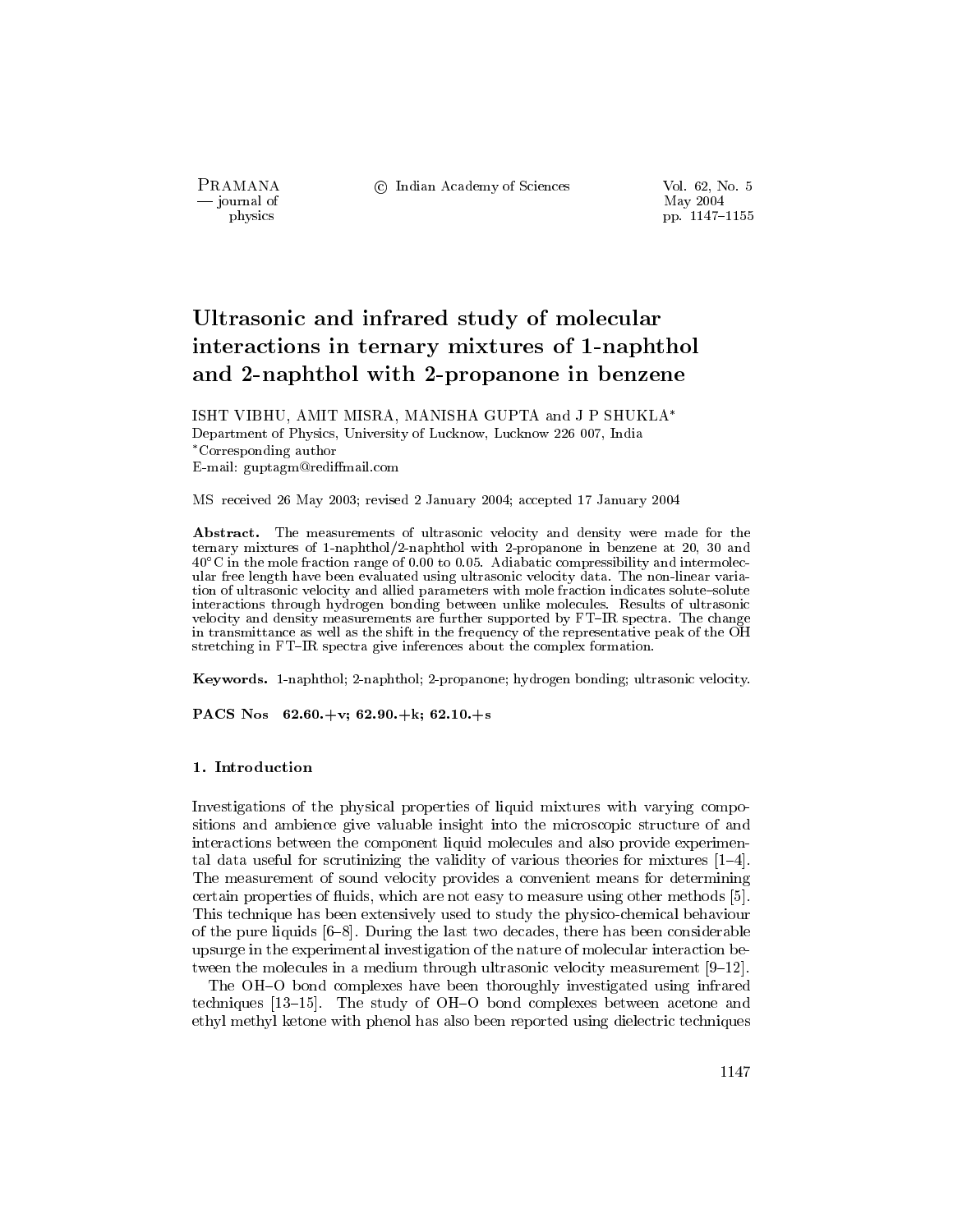PRAMANA — journal of physics

© Indian Academy of Sciences

Vol. 62, No. 5 May 2004 pp. 1147-1155

# Ultrasonic and infrared study of molecular interactions in ternary mixtures of 1-naphthol and 2-naphthol with 2-propanone in benzene

ISHT VIBHU, AMIT MISRA, MANISHA GUPTA and J P SHUKLA\* Department of Physics, University of Lucknow, Lucknow 226 007, India \*Corresponding author E-mail: guptagm@rediffmail.com

MS received 26 May 2003; revised 2 January 2004; accepted 17 January 2004

Abstract. The measurements of ultrasonic velocity and density were made for the ternary mixtures of 1-naphthol/2-naphthol with 2-propanone in benzene at 20, 30 and  $40^{\circ}$ C in the mole fraction range of 0.00 to 0.05. Adiabatic compressibility and intermolecular free length have been evaluated using ultrasonic velocity data. The non-linear variation of ultrasonic velocity and allied parameters with mole fraction indicates solute-solute interactions through hydrogen bonding between unlike molecules. Results of ultrasonic velocity and density measurements are further supported by FT-IR spectra. The change in transmittance as well as the shift in the frequency of the representative peak of the OH stretching in FT-IR spectra give inferences about the complex formation.

Keywords. 1-naphthol; 2-naphthol; 2-propanone; hydrogen bonding; ultrasonic velocity.

PACS Nos  $62.60.+v; 62.90.+k; 62.10.+s$ 

## 1. Introduction

Investigations of the physical properties of liquid mixtures with varying compositions and ambience give valuable insight into the microscopic structure of and interactions between the component liquid molecules and also provide experimental data useful for scrutinizing the validity of various theories for mixtures  $[1-4]$ . The measurement of sound velocity provides a convenient means for determining certain properties of fluids, which are not easy to measure using other methods [5]. This technique has been extensively used to study the physico-chemical behaviour of the pure liquids  $[6-8]$ . During the last two decades, there has been considerable upsurge in the experimental investigation of the nature of molecular interaction between the molecules in a medium through ultrasonic velocity measurement  $[9-12]$ .

The OH-O bond complexes have been thoroughly investigated using infrared techniques [13–15]. The study of OH–O bond complexes between acetone and ethyl methyl ketone with phenol has also been reported using dielectric techniques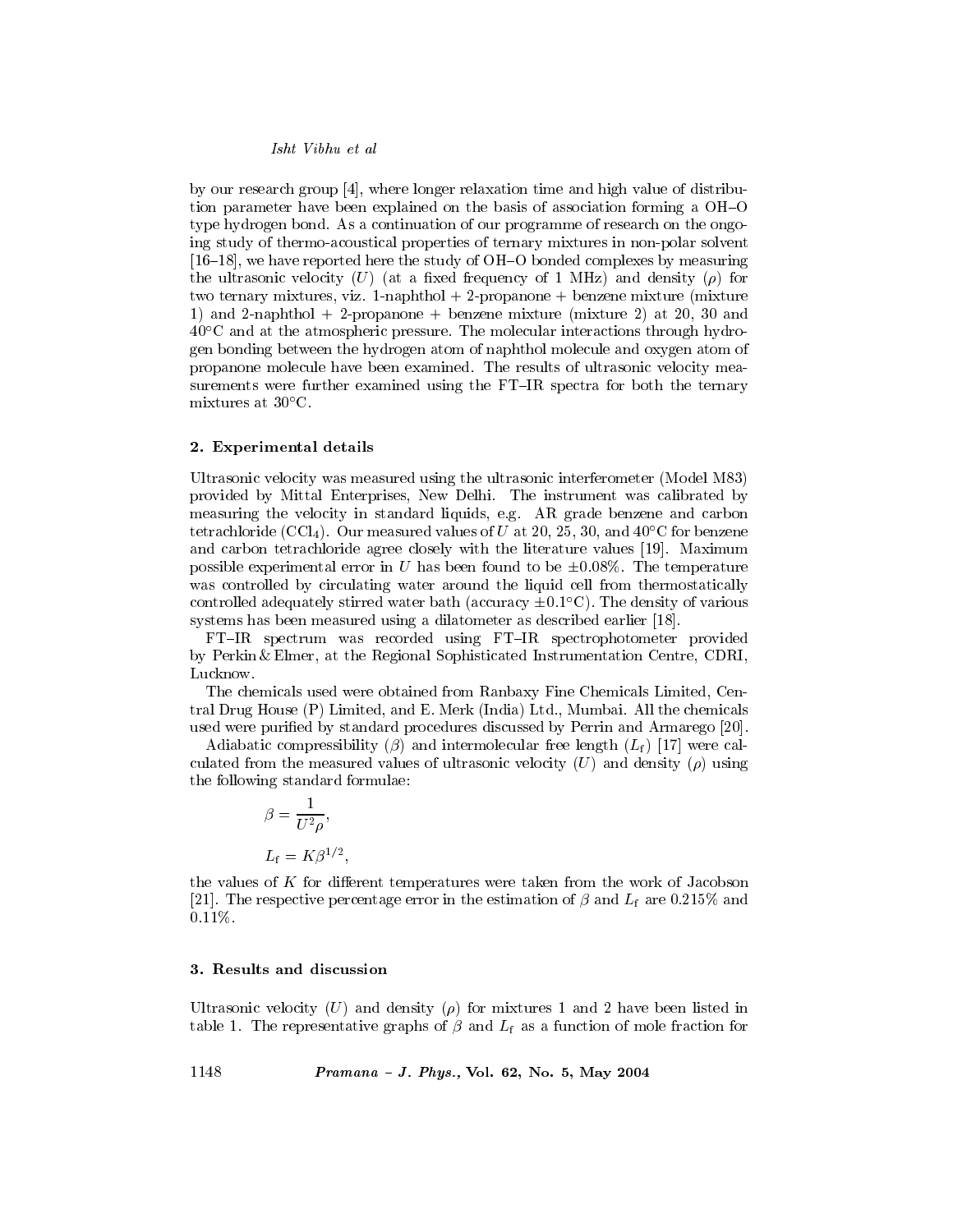Isht Vibhu et al

by our research group  $[4]$ , where longer relaxation time and high value of distribution parameter have been explained on the basis of association forming a OH-O type hydrogen bond. As a continuation of our programme of research on the ongoing study of thermo-acoustical properties of ternary mixtures in non-polar solvent  $[16-18]$ , we have reported here the study of OH-O bonded complexes by measuring the ultrasonic velocity (U) (at a fixed frequency of 1 MHz) and density ( $\rho$ ) for two ternary mixtures, viz. 1-naphthol + 2-propanone + benzene mixture (mixture 1) and 2-naphthol + 2-propanone + benzene mixture (mixture 2) at 20, 30 and  $40^{\circ}$ C and at the atmospheric pressure. The molecular interactions through hydrogen bonding between the hydrogen atom of naphthol molecule and oxygen atom of propanone molecule have been examined. The results of ultrasonic velocity measurements were further examined using the FT-IR spectra for both the ternary mixtures at  $30^{\circ}$ C.

#### 2. Experimental details

Ultrasonic velocity was measured using the ultrasonic interferometer (Model M83) provided by Mittal Enterprises, New Delhi. The instrument was calibrated by measuring the velocity in standard liquids, e.g. AR grade benzene and carbon tetrachloride (CCl<sub>4</sub>). Our measured values of U at 20, 25, 30, and  $40^{\circ}$ C for benzene and carbon tetrachloride agree closely with the literature values [19]. Maximum possible experimental error in U has been found to be  $\pm 0.08\%$ . The temperature was controlled by circulating water around the liquid cell from thermostatically controlled adequately stirred water bath (accuracy  $\pm 0.1^{\circ}$ C). The density of various systems has been measured using a dilatometer as described earlier [18].

FT-IR spectrum was recorded using FT-IR spectrophotometer provided by Perkin & Elmer, at the Regional Sophisticated Instrumentation Centre, CDRI, Lucknow.

The chemicals used were obtained from Ranbaxy Fine Chemicals Limited, Central Drug House (P) Limited, and E. Merk (India) Ltd., Mumbai. All the chemicals used were purified by standard procedures discussed by Perrin and Armarego [20].

Adiabatic compressibility ( $\beta$ ) and intermolecular free length ( $L_f$ ) [17] were calculated from the measured values of ultrasonic velocity (U) and density ( $\rho$ ) using the following standard formulae:

$$
\beta = \frac{1}{U^2 \rho},
$$
  

$$
L_{\rm f} = K \beta^{1/2},
$$

the values of K for different temperatures were taken from the work of Jacobson [21]. The respective percentage error in the estimation of  $\beta$  and  $L_f$  are 0.215% and  $0.11\%$ .

## 3. Results and discussion

Ultrasonic velocity (U) and density ( $\rho$ ) for mixtures 1 and 2 have been listed in table 1. The representative graphs of  $\beta$  and  $L_f$  as a function of mole fraction for

1148 Pramana - J. Phys., Vol. 62, No. 5, May 2004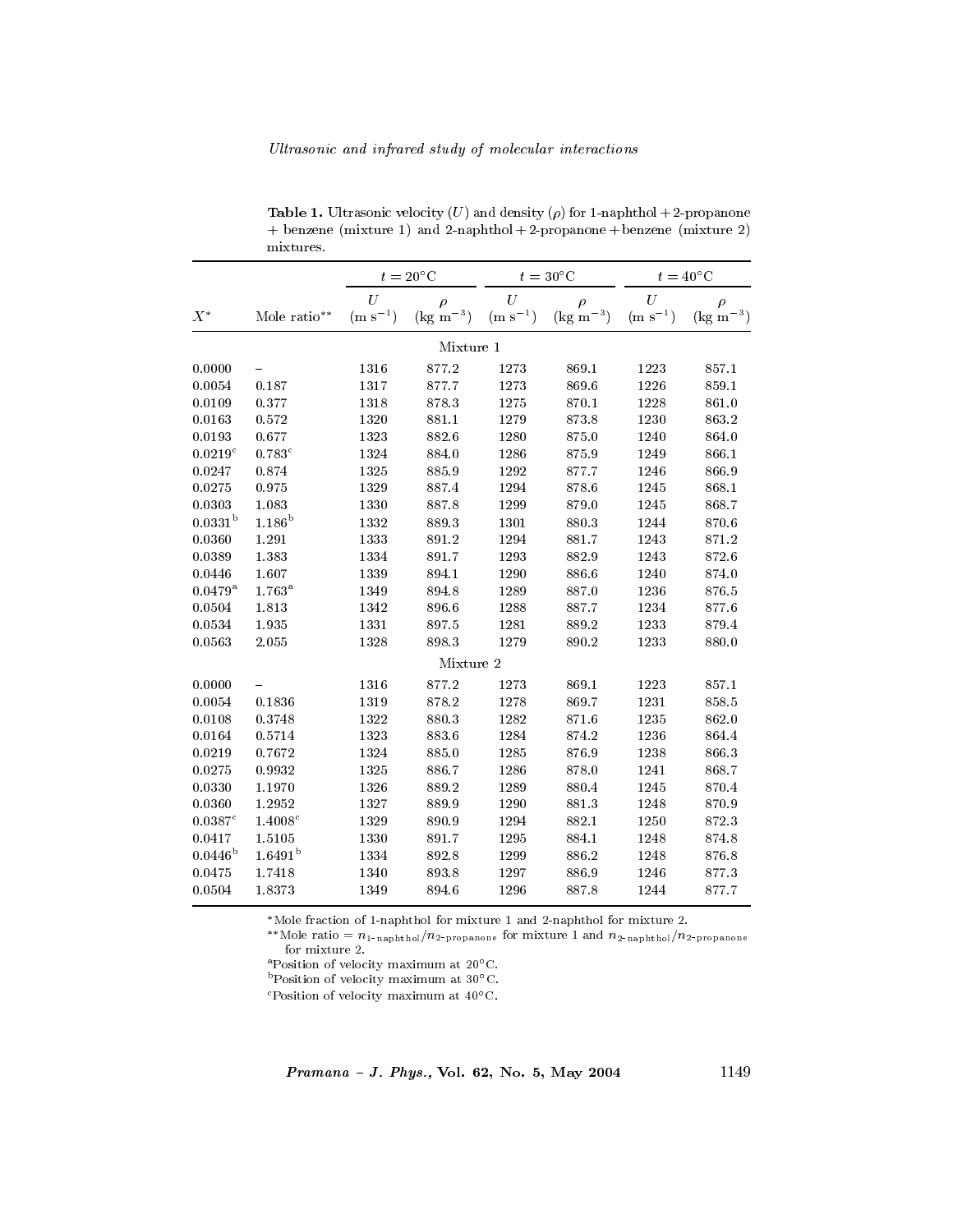|                    |                     | $t=20^{\circ}$ C |                       | $t=30^{\circ}$ C |                   | $t=40^{\circ}$ C |                   |
|--------------------|---------------------|------------------|-----------------------|------------------|-------------------|------------------|-------------------|
|                    |                     | U                | $\rho$                | U                | $\rho$            | U                | $\rho$            |
| $\boldsymbol{X}^*$ | Mole ratio**        | $\rm (m~s^{-1})$ | (kg m <sup>-3</sup> ) | $(m s^{-1})$     | $\rm (kg~m^{-3})$ | $\rm (m~s^{-1})$ | $\rm (kg~m^{-3})$ |
|                    |                     |                  | Mixture 1             |                  |                   |                  |                   |
| 0.0000             |                     | 1316             | 877.2                 | 1273             | 869.1             | 1223             | 857.1             |
| 0.0054             | 0.187               | 1317             | 877.7                 | 1273             | 869.6             | 1226             | 859.1             |
| 0.0109             | 0.377               | 1318             | 878.3                 | 1275             | 870.1             | 1228             | 861.0             |
| 0.0163             | 0.572               | 1320             | 881.1                 | 1279             | 873.8             | 1230             | 863.2             |
| 0.0193             | 0.677               | 1323             | 882.6                 | 1280             | 875.0             | 1240             | 864.0             |
| 0.0219c            | 0.783c              | 1324             | 884.0                 | 1286             | 875.9             | 1249             | 866.1             |
| 0.0247             | 0.874               | 1325             | 885.9                 | 1292             | 877.7             | 1246             | 866.9             |
| 0.0275             | 0.975               | 1329             | 887.4                 | 1294             | 878.6             | 1245             | 868.1             |
| 0.0303             | 1.083               | 1330             | 887.8                 | 1299             | 879.0             | 1245             | 868.7             |
| $0.0331^{b}$       | $1.186^{\rm b}$     | 1332             | 889.3                 | 1301             | 880.3             | 1244             | 870.6             |
| 0.0360             | 1.291               | 1333             | 891.2                 | 1294             | 881.7             | 1243             | 871.2             |
| 0.0389             | 1.383               | 1334             | 891.7                 | 1293             | 882.9             | 1243             | 872.6             |
| 0.0446             | 1.607               | 1339             | 894.1                 | 1290             | 886.6             | 1240             | 874.0             |
| $0.0479 ^{\rm a}$  | $1.763^{\rm a}$     | 1349             | 894.8                 | 1289             | 887.0             | 1236             | 876.5             |
| 0.0504             | 1.813               | 1342             | 896.6                 | 1288             | 887.7             | 1234             | 877.6             |
| 0.0534             | 1.935               | 1331             | 897.5                 | 1281             | 889.2             | 1233             | 879.4             |
| 0.0563             | 2.055               | 1328             | 898.3                 | 1279             | 890.2             | 1233             | 880.0             |
|                    |                     |                  | Mixture 2             |                  |                   |                  |                   |
| 0.0000             |                     | 1316             | 877.2                 | 1273             | 869.1             | 1223             | 857.1             |
| 0.0054             | 0.1836              | 1319             | 878.2                 | 1278             | 869.7             | 1231             | 858.5             |
| 0.0108             | 0.3748              | 1322             | 880.3                 | 1282             | 871.6             | 1235             | 862.0             |
| 0.0164             | 0.5714              | 1323             | 883.6                 | 1284             | 874.2             | 1236             | 864.4             |
| 0.0219             | 0.7672              | 1324             | 885.0                 | 1285             | 876.9             | 1238             | 866.3             |
| 0.0275             | 0.9932              | 1325             | 886.7                 | 1286             | 878.0             | 1241             | 868.7             |
| 0.0330             | 1.1970              | 1326             | 889.2                 | 1289             | 880.4             | 1245             | 870.4             |
| 0.0360             | 1.2952              | 1327             | 889.9                 | 1290             | 881.3             | 1248             | 870.9             |
| 0.0387c            | 1.4008c             | 1329             | 890.9                 | 1294             | 882.1             | 1250             | 872.3             |
| 0.0417             | 1.5105              | 1330             | 891.7                 | 1295             | 884.1             | 1248             | 874.8             |
| $0.0446^{\rm b}$   | 1.6491 <sup>b</sup> | 1334             | 892.8                 | 1299             | 886.2             | 1248             | 876.8             |
| 0.0475             | 1.7418              | 1340             | 893.8                 | 1297             | 886.9             | 1246             | 877.3             |
| 0.0504             | 1.8373              | 1349             | 894.6                 | 1296             | 887.8             | 1244             | 877.7             |

 $\pm$  and  $\pm$  . On the set of  $\pm$  (c) and define  $\pm$  (p) for  $\pm$  mappings  $\pm$   $\pm$  proponents  $+$  benzene (mixture 1) and 2-naphthol  $+$  2-propanone  $+$  benzene (mixture 2)  $\quad$  mixtures.

wore fraction of 1-naphthof for mixture 1 and 2-naphthof for mixtu

\*\*Mole ratio =  $n_{1-\text{naphthol}}/n_{2-\text{propanone}}$  for mixture 1 and  $n_{2-\text{naphthol}}/n_{2-\text{propanone}}$ -

 $\mathrm{a}$ Position of velocity maximum at 20 $\mathrm{^{\circ}C}$ .

- Position of velocity maximum at 30 C.

 $\sim$  Position of velocity maximum at 40  $\sim$ .

-  ! --/7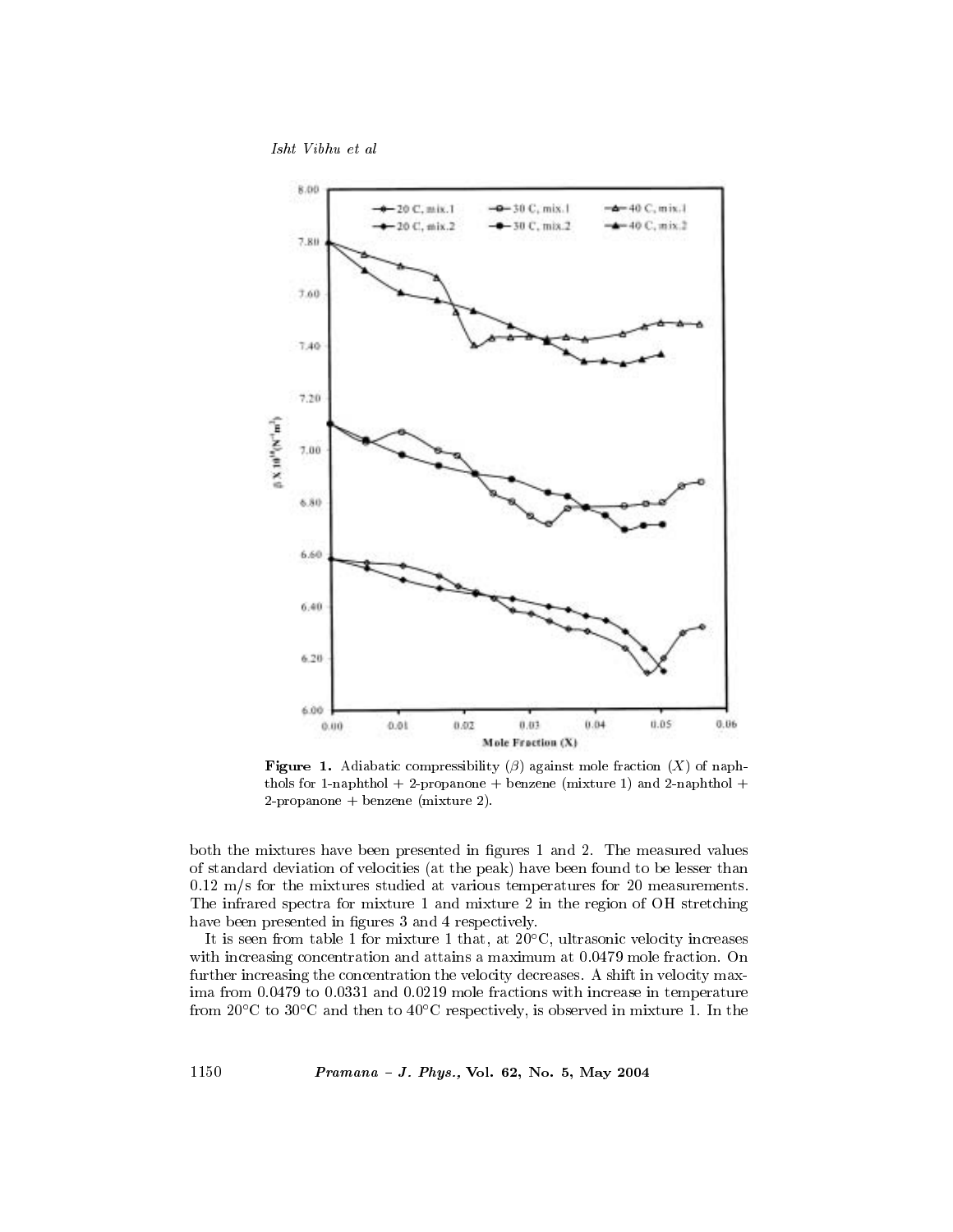Isht Vibhu et al



**Figure 1.** Adiabatic compressibility ( $\beta$ ) against mole fraction (X) of naphthols for 1-naphthol  $+$  2-propanone  $+$  benzene (mixture 1) and 2-naphthol  $+$  $2$ -propanone + benzene (mixture 2).

both the mixtures have been presented in figures 1 and 2. The measured values of standard deviation of velocities (at the peak) have been found to be lesser than  $0.12$  m/s for the mixtures studied at various temperatures for 20 measurements. The infrared spectra for mixture 1 and mixture 2 in the region of OH stretching have been presented in figures 3 and 4 respectively.

It is seen from table 1 for mixture 1 that, at  $20^{\circ}$ C, ultrasonic velocity increases with increasing concentration and attains a maximum at 0.0479 mole fraction. On further increasing the concentration the velocity decreases. A shift in velocity maxima from 0.0479 to 0.0331 and 0.0219 mole fractions with increase in temperature from 20 $^{\circ}$ C to 30 $^{\circ}$ C and then to 40 $^{\circ}$ C respectively, is observed in mixture 1. In the

Pramana - J. Phys., Vol. 62, No. 5, May 2004

1150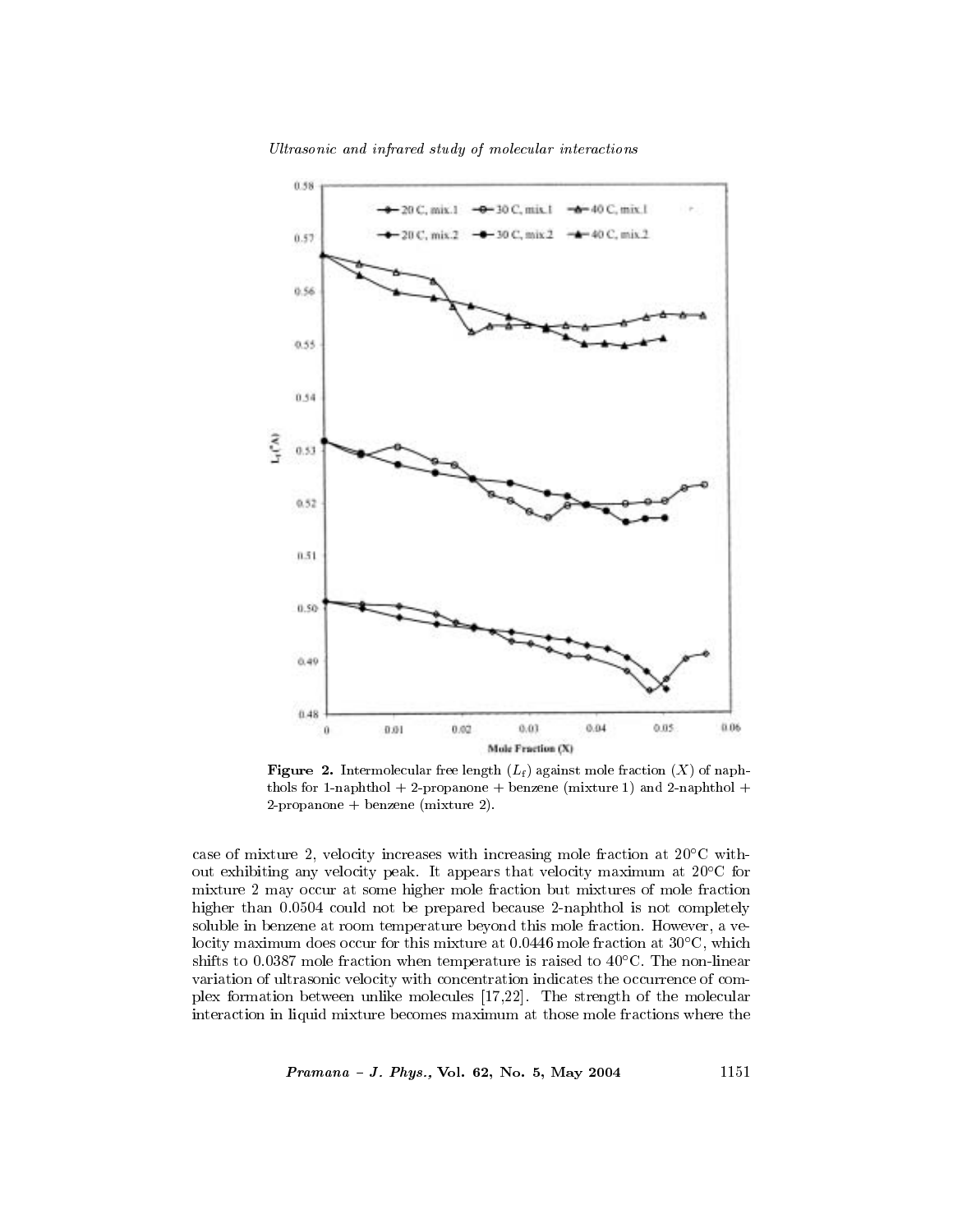

Ultrasonic and infrared study of molecular interactions

**Figure 2.** Intermolecular free length  $(L_f)$  against mole fraction  $(X)$  of naphthols for 1-naphthol  $+$  2-propanone  $+$  benzene (mixture 1) and 2-naphthol  $+$ 2-propanone + benzene (mixture 2).

Mole Fraction (X)

case of mixture 2, velocity increases with increasing mole fraction at  $20^{\circ}$ C without exhibiting any velocity peak. It appears that velocity maximum at 20°C for mixture 2 may occur at some higher mole fraction but mixtures of mole fraction higher than 0.0504 could not be prepared because 2-naphthol is not completely soluble in benzene at room temperature beyond this mole fraction. However, a velocity maximum does occur for this mixture at 0.0446 mole fraction at  $30^{\circ}$ C, which shifts to 0.0387 mole fraction when temperature is raised to  $40^{\circ}$ C. The non-linear variation of ultrasonic velocity with concentration indicates the occurrence of complex formation between unlike molecules  $[17,22]$ . The strength of the molecular interaction in liquid mixture becomes maximum at those mole fractions where the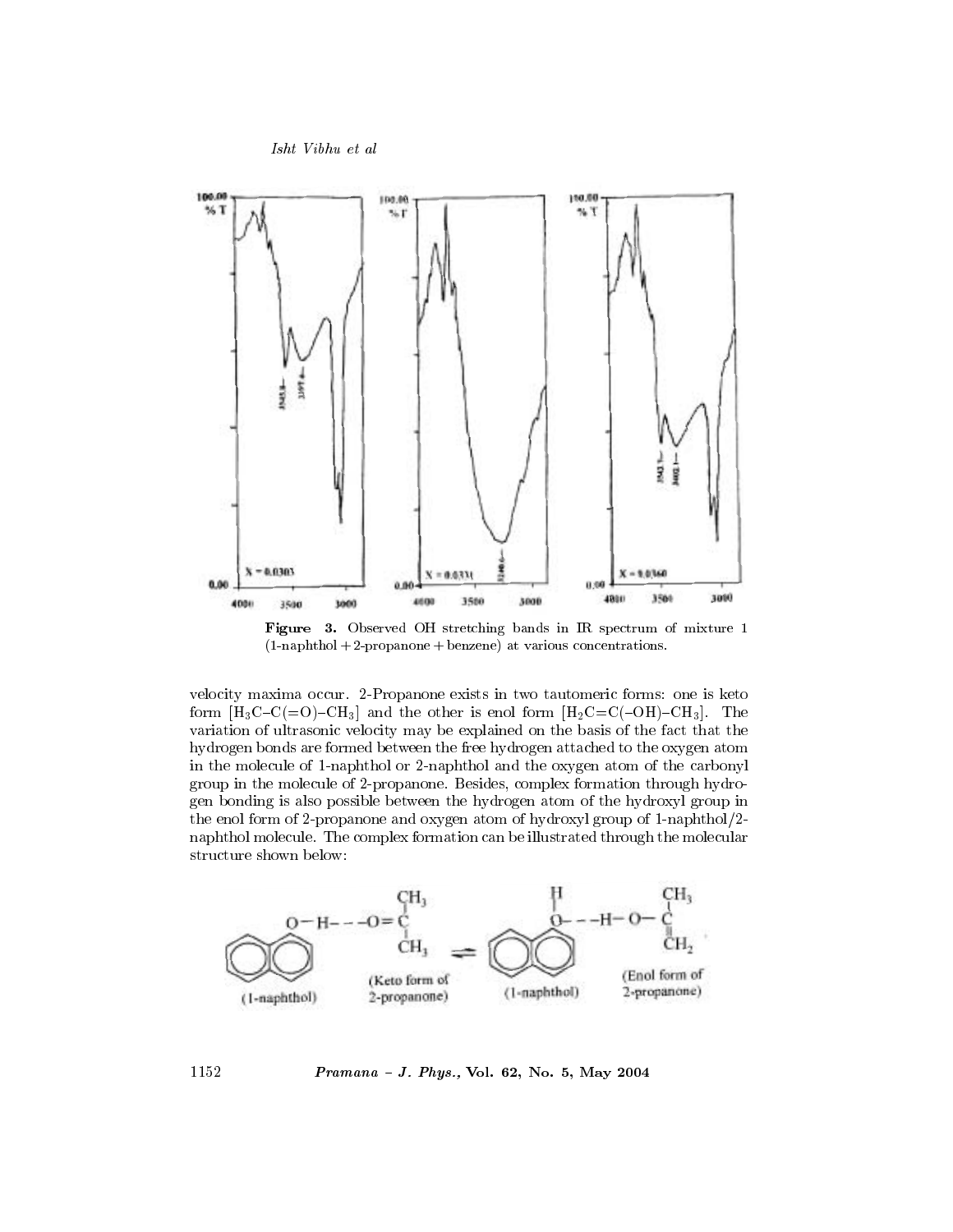



Figure 3. Observed OH stretching bands in IR spectrum of mixture 1  $(1-napht hol + 2-propanone + benzene)$  at various concentrations.

velocity maxima occur. 2-Propanone exists in two tautomeric forms: one is keto form  $[H_3C-C(=O)-CH_3]$  and the other is enol form  $[H_2C=C(-OH)-CH_3]$ . The variation of ultrasonic velocity may be explained on the basis of the fact that the hydrogen bonds are formed between the free hydrogen attached to the oxygen atom in the molecule of 1-naphthol or 2-naphthol and the oxygen atom of the carbonyl group in the molecule of 2-propanone. Besides, complex formation through hydrogen bonding is also possible between the hydrogen atom of the hydroxyl group in the enol form of 2-propanone and oxygen atom of hydroxyl group of 1-naphthol/2naphthol molecule. The complex formation can be illustrated through the molecular structure shown below:



Pramana - J. Phys., Vol. 62, No. 5, May 2004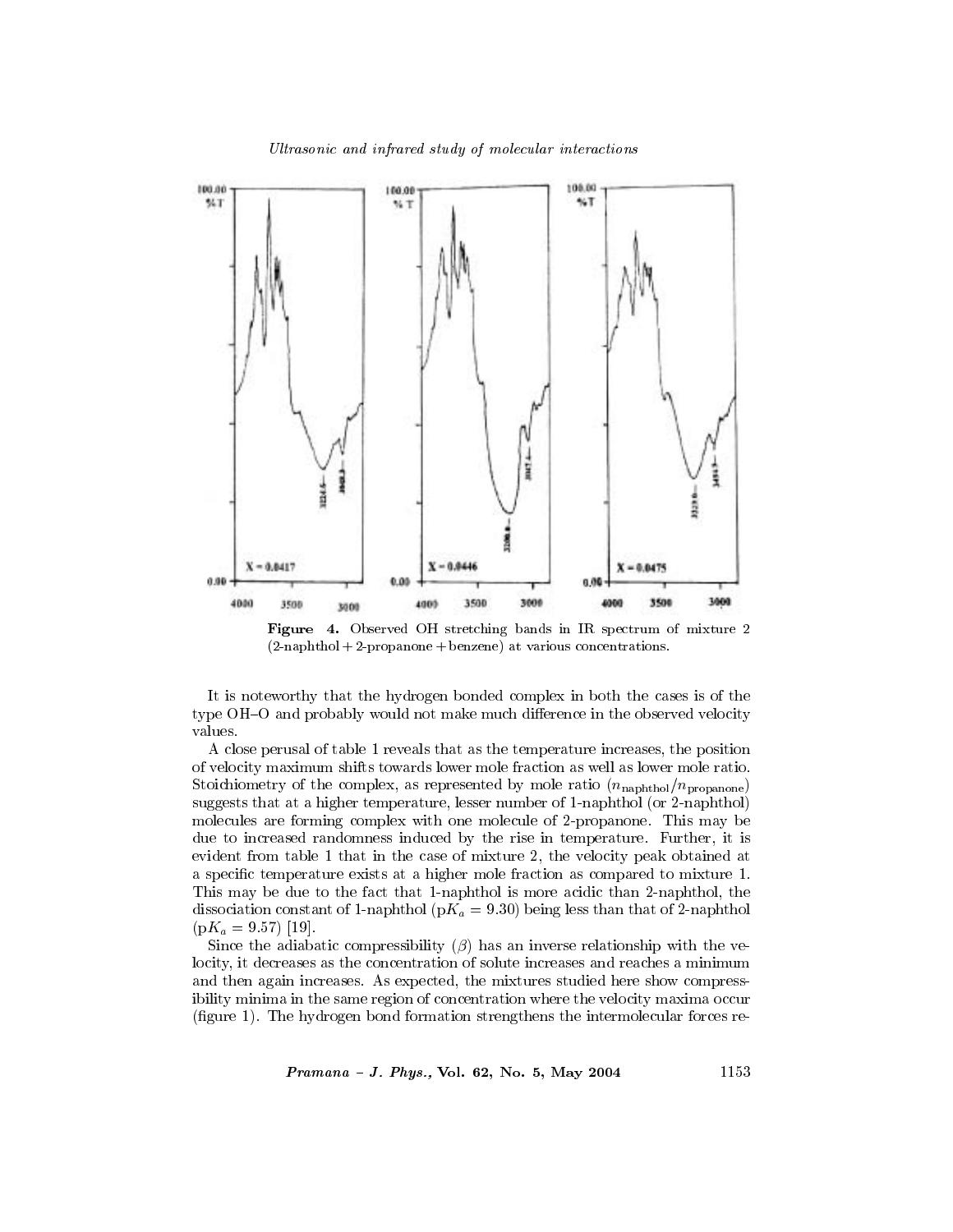



It is noteworthy that the hydrogen bonded complex in both the cases is of the type OH–O and probably would not make much difference in the observed velocity values.

A close perusal of table 1 reveals that as the temperature increases, the position of velocity maximum shifts towards lower mole fraction as well as lower mole ratio. Stoichiometry of the complex, as represented by mole ratio  $(n_{\text{naphthol}}/n_{\text{propanone}})$ suggests that at a higher temperature, lesser number of 1-naphthol (or 2-naphthol) molecules are forming complex with one molecule of 2-propanone. This may be due to increased randomness induced by the rise in temperature. Further, it is evident from table 1 that in the case of mixture 2, the velocity peak obtained at a specific temperature exists at a higher mole fraction as compared to mixture 1. This may be due to the fact that 1-naphthol is more acidic than 2-naphthol, the dissociation constant of 1-naphthol ( $pK_a = 9.30$ ) being less than that of 2-naphthol  $(pK_a = 9.57)$  [19].

Since the adiabatic compressibility  $(\beta)$  has an inverse relationship with the velocity, it decreases as the concentration of solute increases and reaches a minimum and then again increases. As expected, the mixtures studied here show compressibility minima in the same region of concentration where the velocity maxima occur (figure 1). The hydrogen bond formation strengthens the intermolecular forces re-

Pramana - J. Phys., Vol. 62, No. 5, May 2004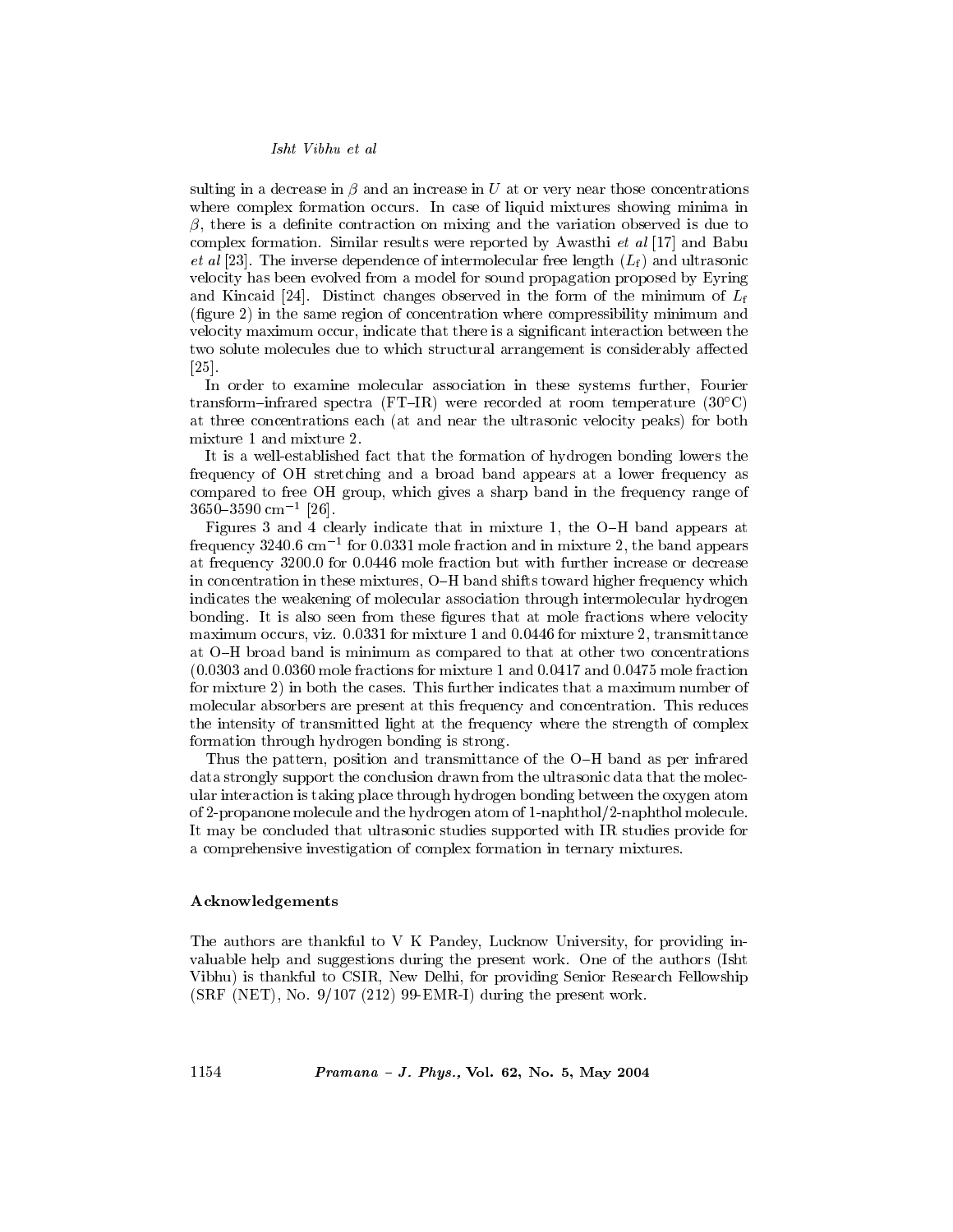sulting in a decrease in  $\beta$  and an increase in U at or very near those concentrations where complex formation occurs. In case of liquid mixtures showing minima in  $\beta$ , there is a definite contraction on mixing and the variation observed is due to complex formation. Similar results were reported by Awasthi *et al* [17] and Babu *et al* [23]. The inverse dependence of intermolecular free length  $(L_f)$  and ultrasonic velocity has been evolved from a model for sound propagation proposed by Eyring and Kincaid [24]. Distinct changes observed in the form of the minimum of  $L_f$ (figure 2) in the same region of concentration where compressibility minimum and velocity maximum occur, indicate that there is a significant interaction between the two solute molecules due to which structural arrangement is considerably affected  $\left[25\right]$ 

In order to examine molecular association in these systems further, Fourier transform-infrared spectra (FT-IR) were recorded at room temperature  $(30^{\circ}C)$ at three concentrations each (at and near the ultrasonic velocity peaks) for both mixture 1 and mixture 2.

It is a well-established fact that the formation of hydrogen bonding lowers the frequency of OH stretching and a broad band appears at a lower frequency as compared to free OH group, which gives a sharp band in the frequency range of  $3650 - 3590$  cm<sup>-1</sup> [26].

Figures 3 and 4 clearly indicate that in mixture 1, the O-H band appears at frequency 3240.6 cm<sup>-1</sup> for 0.0331 mole fraction and in mixture 2, the band appears at frequency 3200.0 for 0.0446 mole fraction but with further increase or decrease in concentration in these mixtures, O-H band shifts toward higher frequency which indicates the weakening of molecular association through intermolecular hydrogen bonding. It is also seen from these figures that at mole fractions where velocity maximum occurs, viz. 0.0331 for mixture 1 and 0.0446 for mixture 2, transmittance at O–H broad band is minimum as compared to that at other two concentrations  $(0.0303$  and  $0.0360$  mole fractions for mixture 1 and  $0.0417$  and  $0.0475$  mole fraction for mixture 2) in both the cases. This further indicates that a maximum number of molecular absorbers are present at this frequency and concentration. This reduces the intensity of transmitted light at the frequency where the strength of complex formation through hydrogen bonding is strong.

Thus the pattern, position and transmittance of the O-H band as per infrared data strongly support the conclusion drawn from the ultrasonic data that the molecular interaction is taking place through hydrogen bonding between the oxygen atom of 2-propanone molecule and the hydrogen atom of 1-naphthol/2-naphthol molecule. It may be concluded that ultrasonic studies supported with IR studies provide for a comprehensive investigation of complex formation in ternary mixtures.

#### Acknowledgements

The authors are thankful to V K Pandey, Lucknow University, for providing invaluable help and suggestions during the present work. One of the authors (Isht Vibhu) is thankful to CSIR, New Delhi, for providing Senior Research Fellowship  $(SRF (NET), No. 9/107 (212) 99-EMR-I)$  during the present work.